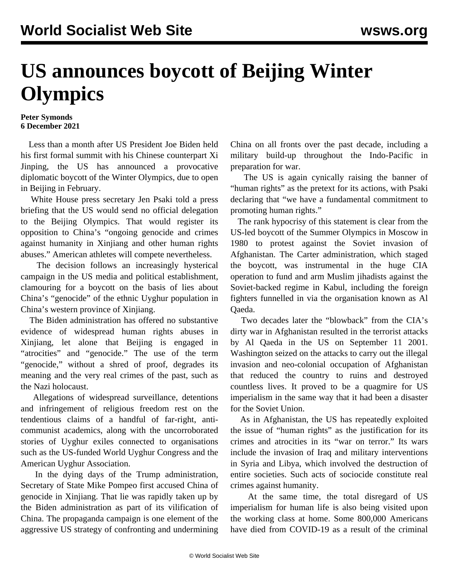## **US announces boycott of Beijing Winter Olympics**

## **Peter Symonds 6 December 2021**

 Less than a month after US President Joe Biden held his first formal summit with his Chinese counterpart Xi Jinping, the US has announced a provocative diplomatic boycott of the Winter Olympics, due to open in Beijing in February.

 White House press secretary Jen Psaki told a press briefing that the US would send no official delegation to the Beijing Olympics. That would register its opposition to China's "ongoing genocide and crimes against humanity in Xinjiang and other human rights abuses." American athletes will compete nevertheless.

 The decision follows an increasingly hysterical campaign in the US media and political establishment, clamouring for a boycott on the basis of lies about China's "genocide" of the ethnic Uyghur population in China's western province of Xinjiang.

 The Biden administration has offered no substantive evidence of widespread human rights abuses in Xinjiang, let alone that Beijing is engaged in "atrocities" and "genocide." The use of the term "genocide," without a shred of proof, degrades its meaning and the very real crimes of the past, such as the Nazi holocaust.

 Allegations of widespread surveillance, detentions and infringement of religious freedom rest on the tendentious claims of a handful of far-right, anticommunist academics, along with the uncorroborated stories of Uyghur exiles connected to organisations such as the US-funded World Uyghur Congress and the American Uyghur Association.

 In the dying days of the Trump administration, Secretary of State Mike Pompeo first accused China of genocide in Xinjiang. That lie was rapidly taken up by the Biden administration as part of its vilification of China. The propaganda campaign is one element of the aggressive US strategy of confronting and undermining China on all fronts over the past decade, including a military build-up throughout the Indo-Pacific in preparation for war.

 The US is again cynically raising the banner of "human rights" as the pretext for its actions, with Psaki declaring that "we have a fundamental commitment to promoting human rights."

 The rank hypocrisy of this statement is clear from the US-led boycott of the Summer Olympics in Moscow in 1980 to protest against the Soviet invasion of Afghanistan. The Carter administration, which staged the boycott, was instrumental in the huge CIA operation to fund and arm Muslim jihadists against the Soviet-backed regime in Kabul, including the foreign fighters funnelled in via the organisation known as Al Qaeda.

 Two decades later the "blowback" from the CIA's dirty war in Afghanistan resulted in the terrorist attacks by Al Qaeda in the US on September 11 2001. Washington seized on the attacks to carry out the illegal invasion and neo-colonial occupation of Afghanistan that reduced the country to ruins and destroyed countless lives. It proved to be a quagmire for US imperialism in the same way that it had been a disaster for the Soviet Union.

 As in Afghanistan, the US has repeatedly exploited the issue of "human rights" as the justification for its crimes and atrocities in its "war on terror." Its wars include the invasion of Iraq and military interventions in Syria and Libya, which involved the destruction of entire societies. Such acts of sociocide constitute real crimes against humanity.

 At the same time, the total disregard of US imperialism for human life is also being visited upon the working class at home. Some 800,000 Americans have died from COVID-19 as a result of the criminal